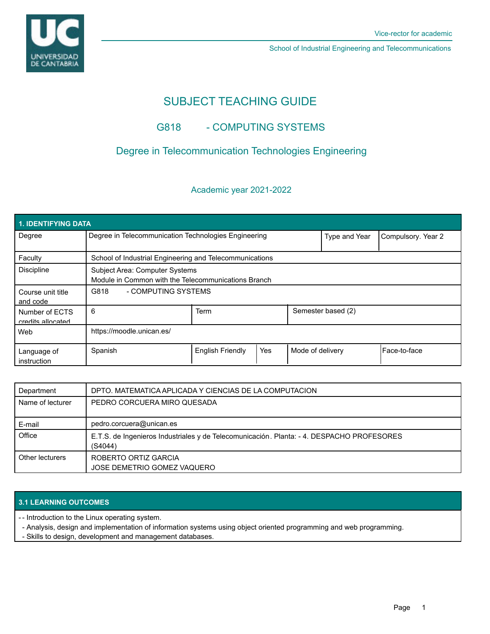UNIVERSIDAD<br>DE CANTABRIA

School of Industrial Engineering and Telecommunications

# SUBJECT TEACHING GUIDE

## G818 - COMPUTING SYSTEMS

## Degree in Telecommunication Technologies Engineering

#### Academic year 2021-2022

| <b>1. IDENTIFYING DATA</b>          |                                                                                       |                         |     |                  |                    |                |  |  |  |
|-------------------------------------|---------------------------------------------------------------------------------------|-------------------------|-----|------------------|--------------------|----------------|--|--|--|
| Degree                              | Degree in Telecommunication Technologies Engineering                                  |                         |     | Type and Year    | Compulsory. Year 2 |                |  |  |  |
| Faculty                             | School of Industrial Engineering and Telecommunications                               |                         |     |                  |                    |                |  |  |  |
| <b>Discipline</b>                   | Subject Area: Computer Systems<br>Module in Common with the Telecommunications Branch |                         |     |                  |                    |                |  |  |  |
| Course unit title<br>and code       | G818<br>- COMPUTING SYSTEMS                                                           |                         |     |                  |                    |                |  |  |  |
| Number of ECTS<br>credits allocated | 6                                                                                     | <b>Term</b>             |     |                  | Semester based (2) |                |  |  |  |
| Web                                 | https://moodle.unican.es/                                                             |                         |     |                  |                    |                |  |  |  |
| Language of<br>instruction          | Spanish                                                                               | <b>English Friendly</b> | Yes | Mode of delivery |                    | l Face-to-face |  |  |  |

| Department       | DPTO. MATEMATICA APLICADA Y CIENCIAS DE LA COMPUTACION                                               |
|------------------|------------------------------------------------------------------------------------------------------|
| Name of lecturer | PEDRO CORCUERA MIRO QUESADA                                                                          |
| E-mail           | pedro.corcuera@unican.es                                                                             |
| Office           | E.T.S. de Ingenieros Industriales y de Telecomunicación. Planta: - 4. DESPACHO PROFESORES<br>(S4044) |
| Other lecturers  | ROBERTO ORTIZ GARCIA<br>JOSE DEMETRIO GOMEZ VAQUERO                                                  |

### **3.1 LEARNING OUTCOMES**

-- Introduction to the Linux operating system.

- Analysis, design and implementation of information systems using object oriented programming and web programming.
- Skills to design, development and management databases.